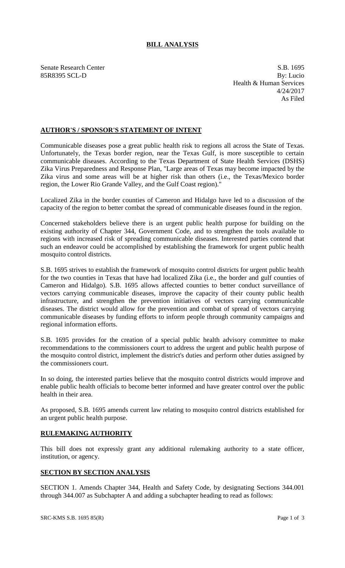# **BILL ANALYSIS**

Senate Research Center S.B. 1695 85R8395 SCL-D By: Lucio Health & Human Services 4/24/2017 As Filed

## **AUTHOR'S / SPONSOR'S STATEMENT OF INTENT**

Communicable diseases pose a great public health risk to regions all across the State of Texas. Unfortunately, the Texas border region, near the Texas Gulf, is more susceptible to certain communicable diseases. According to the Texas Department of State Health Services (DSHS) Zika Virus Preparedness and Response Plan, "Large areas of Texas may become impacted by the Zika virus and some areas will be at higher risk than others (i.e., the Texas/Mexico border region, the Lower Rio Grande Valley, and the Gulf Coast region)."

Localized Zika in the border counties of Cameron and Hidalgo have led to a discussion of the capacity of the region to better combat the spread of communicable diseases found in the region.

Concerned stakeholders believe there is an urgent public health purpose for building on the existing authority of Chapter 344, Government Code, and to strengthen the tools available to regions with increased risk of spreading communicable diseases. Interested parties contend that such an endeavor could be accomplished by establishing the framework for urgent public health mosquito control districts.

S.B. 1695 strives to establish the framework of mosquito control districts for urgent public health for the two counties in Texas that have had localized Zika (i.e., the border and gulf counties of Cameron and Hidalgo). S.B. 1695 allows affected counties to better conduct surveillance of vectors carrying communicable diseases, improve the capacity of their county public health infrastructure, and strengthen the prevention initiatives of vectors carrying communicable diseases. The district would allow for the prevention and combat of spread of vectors carrying communicable diseases by funding efforts to inform people through community campaigns and regional information efforts.

S.B. 1695 provides for the creation of a special public health advisory committee to make recommendations to the commissioners court to address the urgent and public health purpose of the mosquito control district, implement the district's duties and perform other duties assigned by the commissioners court.

In so doing, the interested parties believe that the mosquito control districts would improve and enable public health officials to become better informed and have greater control over the public health in their area.

As proposed, S.B. 1695 amends current law relating to mosquito control districts established for an urgent public health purpose.

## **RULEMAKING AUTHORITY**

This bill does not expressly grant any additional rulemaking authority to a state officer, institution, or agency.

## **SECTION BY SECTION ANALYSIS**

SECTION 1. Amends Chapter 344, Health and Safety Code, by designating Sections 344.001 through 344.007 as Subchapter A and adding a subchapter heading to read as follows: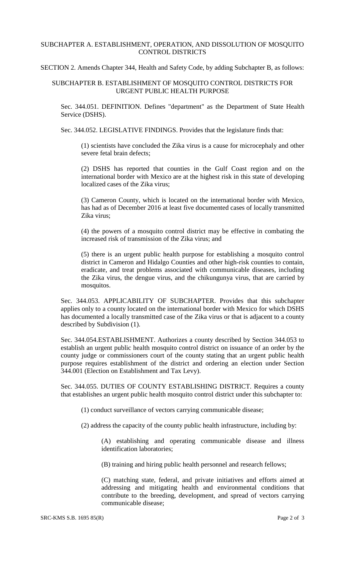#### SUBCHAPTER A. ESTABLISHMENT, OPERATION, AND DISSOLUTION OF MOSQUITO CONTROL DISTRICTS

#### SECTION 2. Amends Chapter 344, Health and Safety Code, by adding Subchapter B, as follows:

## SUBCHAPTER B. ESTABLISHMENT OF MOSQUITO CONTROL DISTRICTS FOR URGENT PUBLIC HEALTH PURPOSE

Sec. 344.051. DEFINITION. Defines "department" as the Department of State Health Service (DSHS).

Sec. 344.052. LEGISLATIVE FINDINGS. Provides that the legislature finds that:

(1) scientists have concluded the Zika virus is a cause for microcephaly and other severe fetal brain defects;

(2) DSHS has reported that counties in the Gulf Coast region and on the international border with Mexico are at the highest risk in this state of developing localized cases of the Zika virus;

(3) Cameron County, which is located on the international border with Mexico, has had as of December 2016 at least five documented cases of locally transmitted Zika virus;

(4) the powers of a mosquito control district may be effective in combating the increased risk of transmission of the Zika virus; and

(5) there is an urgent public health purpose for establishing a mosquito control district in Cameron and Hidalgo Counties and other high-risk counties to contain, eradicate, and treat problems associated with communicable diseases, including the Zika virus, the dengue virus, and the chikungunya virus, that are carried by mosquitos.

Sec. 344.053. APPLICABILITY OF SUBCHAPTER. Provides that this subchapter applies only to a county located on the international border with Mexico for which DSHS has documented a locally transmitted case of the Zika virus or that is adjacent to a county described by Subdivision (1).

Sec. 344.054.ESTABLISHMENT. Authorizes a county described by Section 344.053 to establish an urgent public health mosquito control district on issuance of an order by the county judge or commissioners court of the county stating that an urgent public health purpose requires establishment of the district and ordering an election under Section 344.001 (Election on Establishment and Tax Levy).

Sec. 344.055. DUTIES OF COUNTY ESTABLISHING DISTRICT. Requires a county that establishes an urgent public health mosquito control district under this subchapter to:

(1) conduct surveillance of vectors carrying communicable disease;

(2) address the capacity of the county public health infrastructure, including by:

(A) establishing and operating communicable disease and illness identification laboratories;

(B) training and hiring public health personnel and research fellows;

(C) matching state, federal, and private initiatives and efforts aimed at addressing and mitigating health and environmental conditions that contribute to the breeding, development, and spread of vectors carrying communicable disease;